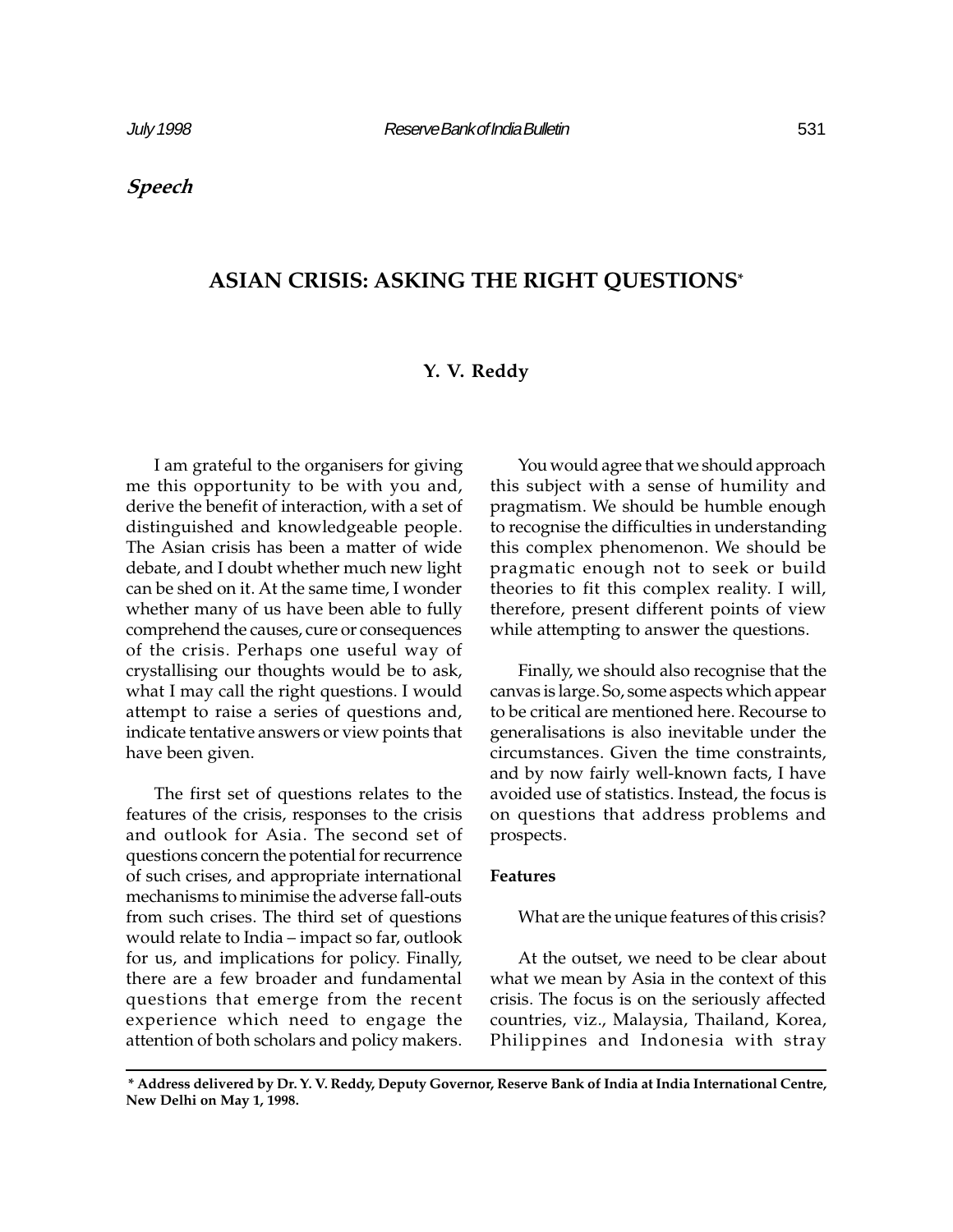Speech

# ASIAN CRISIS: ASKING THE RIGHT QUESTIONS\*

# Y. V. Reddy

I am grateful to the organisers for giving me this opportunity to be with you and, derive the benefit of interaction, with a set of distinguished and knowledgeable people. The Asian crisis has been a matter of wide debate, and I doubt whether much new light can be shed on it. At the same time, I wonder whether many of us have been able to fully comprehend the causes, cure or consequences of the crisis. Perhaps one useful way of crystallising our thoughts would be to ask, what I may call the right questions. I would attempt to raise a series of questions and, indicate tentative answers or view points that have been given.

The first set of questions relates to the features of the crisis, responses to the crisis and outlook for Asia. The second set of questions concern the potential for recurrence of such crises, and appropriate international mechanisms to minimise the adverse fall-outs from such crises. The third set of questions would relate to India – impact so far, outlook for us, and implications for policy. Finally, there are a few broader and fundamental questions that emerge from the recent experience which need to engage the attention of both scholars and policy makers.

You would agree that we should approach this subject with a sense of humility and pragmatism. We should be humble enough to recognise the difficulties in understanding this complex phenomenon. We should be pragmatic enough not to seek or build theories to fit this complex reality. I will, therefore, present different points of view while attempting to answer the questions.

Finally, we should also recognise that the canvas is large. So, some aspects which appear to be critical are mentioned here. Recourse to generalisations is also inevitable under the circumstances. Given the time constraints, and by now fairly well-known facts, I have avoided use of statistics. Instead, the focus is on questions that address problems and prospects.

### Features

What are the unique features of this crisis?

At the outset, we need to be clear about what we mean by Asia in the context of this crisis. The focus is on the seriously affected countries, viz., Malaysia, Thailand, Korea, Philippines and Indonesia with stray

<sup>\*</sup> Address delivered by Dr. Y. V. Reddy, Deputy Governor, Reserve Bank of India at India International Centre, New Delhi on May 1, 1998.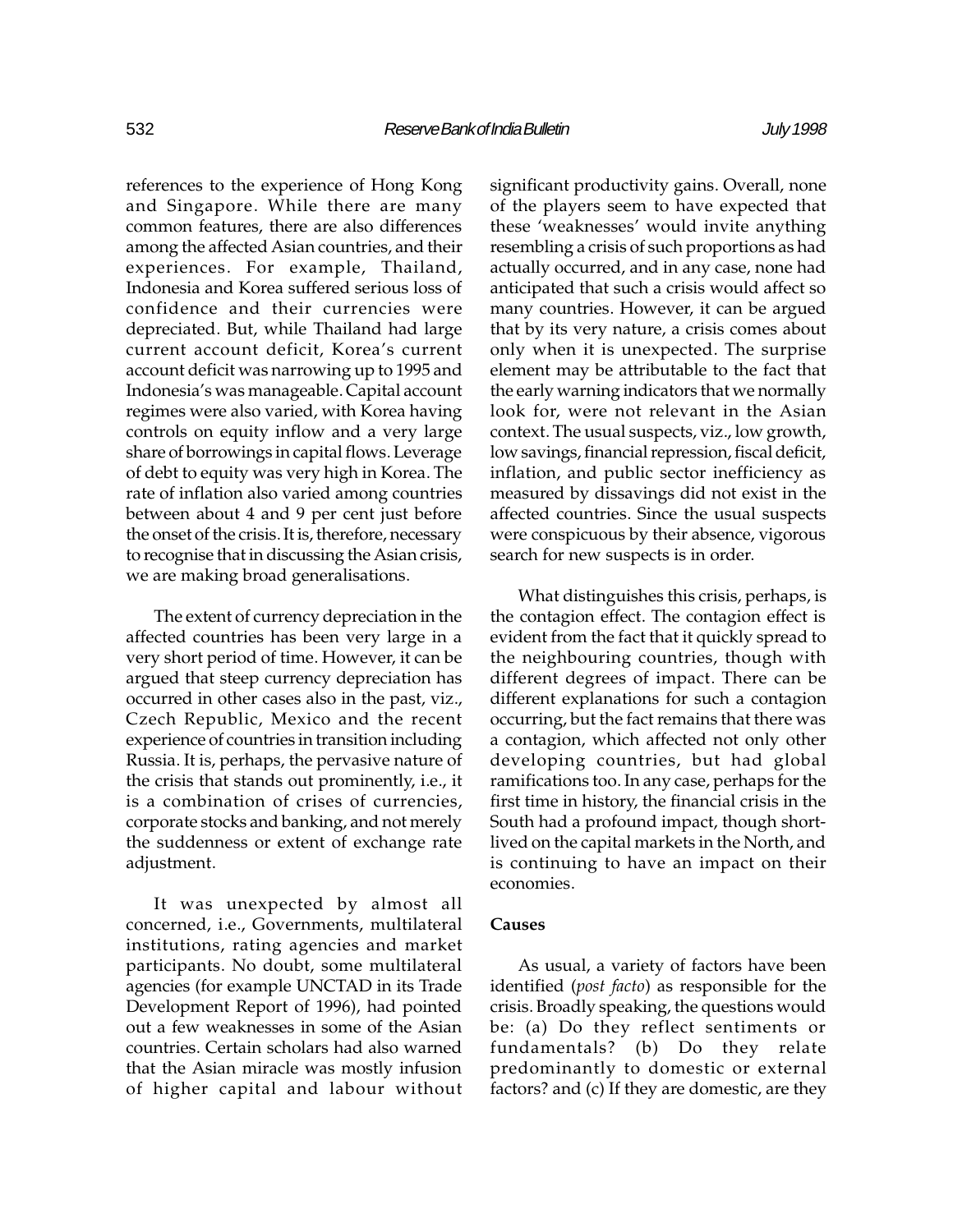references to the experience of Hong Kong and Singapore. While there are many common features, there are also differences among the affected Asian countries, and their experiences. For example, Thailand, Indonesia and Korea suffered serious loss of confidence and their currencies were depreciated. But, while Thailand had large current account deficit, Korea's current account deficit was narrowing up to 1995 and Indonesia's was manageable. Capital account regimes were also varied, with Korea having controls on equity inflow and a very large share of borrowings in capital flows. Leverage of debt to equity was very high in Korea. The rate of inflation also varied among countries between about 4 and 9 per cent just before the onset of the crisis. It is, therefore, necessary to recognise that in discussing the Asian crisis, we are making broad generalisations.

The extent of currency depreciation in the affected countries has been very large in a very short period of time. However, it can be argued that steep currency depreciation has occurred in other cases also in the past, viz., Czech Republic, Mexico and the recent experience of countries in transition including Russia. It is, perhaps, the pervasive nature of the crisis that stands out prominently, i.e., it is a combination of crises of currencies, corporate stocks and banking, and not merely the suddenness or extent of exchange rate adjustment.

It was unexpected by almost all concerned, i.e., Governments, multilateral institutions, rating agencies and market participants. No doubt, some multilateral agencies (for example UNCTAD in its Trade Development Report of 1996), had pointed out a few weaknesses in some of the Asian countries. Certain scholars had also warned that the Asian miracle was mostly infusion of higher capital and labour without significant productivity gains. Overall, none of the players seem to have expected that these 'weaknesses' would invite anything resembling a crisis of such proportions as had actually occurred, and in any case, none had anticipated that such a crisis would affect so many countries. However, it can be argued that by its very nature, a crisis comes about only when it is unexpected. The surprise element may be attributable to the fact that the early warning indicators that we normally look for, were not relevant in the Asian context. The usual suspects, viz., low growth, low savings, financial repression, fiscal deficit, inflation, and public sector inefficiency as measured by dissavings did not exist in the affected countries. Since the usual suspects were conspicuous by their absence, vigorous search for new suspects is in order.

What distinguishes this crisis, perhaps, is the contagion effect. The contagion effect is evident from the fact that it quickly spread to the neighbouring countries, though with different degrees of impact. There can be different explanations for such a contagion occurring, but the fact remains that there was a contagion, which affected not only other developing countries, but had global ramifications too. In any case, perhaps for the first time in history, the financial crisis in the South had a profound impact, though shortlived on the capital markets in the North, and is continuing to have an impact on their economies.

# Causes

As usual, a variety of factors have been identified (post facto) as responsible for the crisis. Broadly speaking, the questions would be: (a) Do they reflect sentiments or fundamentals? (b) Do they relate predominantly to domestic or external factors? and (c) If they are domestic, are they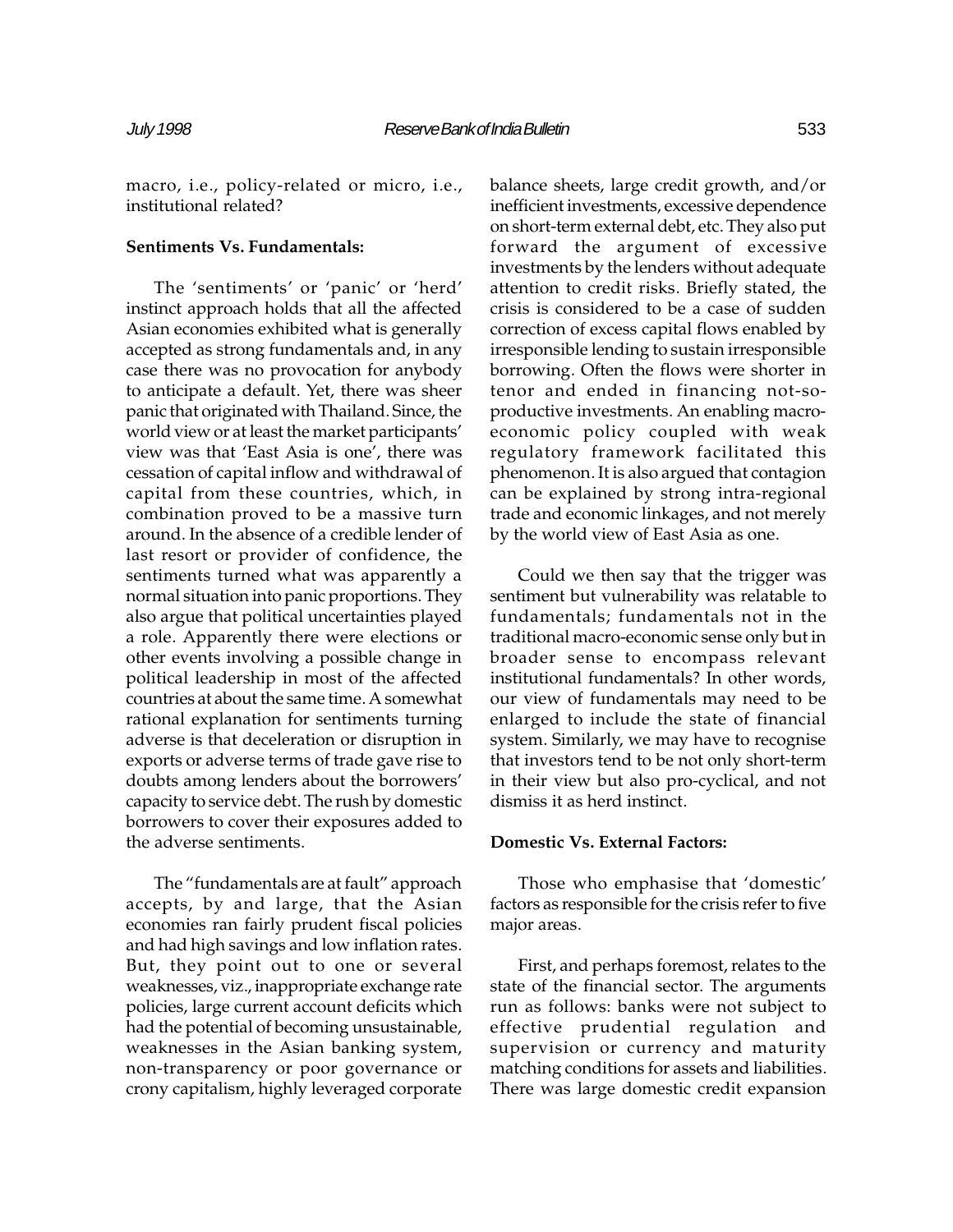macro, i.e., policy-related or micro, i.e., institutional related?

#### Sentiments Vs. Fundamentals:

The 'sentiments' or 'panic' or 'herd' instinct approach holds that all the affected Asian economies exhibited what is generally accepted as strong fundamentals and, in any case there was no provocation for anybody to anticipate a default. Yet, there was sheer panic that originated with Thailand. Since, the world view or at least the market participants view was that 'East Asia is one', there was cessation of capital inflow and withdrawal of capital from these countries, which, in combination proved to be a massive turn around. In the absence of a credible lender of last resort or provider of confidence, the sentiments turned what was apparently a normal situation into panic proportions. They also argue that political uncertainties played a role. Apparently there were elections or other events involving a possible change in political leadership in most of the affected countries at about the same time. A somewhat rational explanation for sentiments turning adverse is that deceleration or disruption in exports or adverse terms of trade gave rise to doubts among lenders about the borrowers capacity to service debt. The rush by domestic borrowers to cover their exposures added to the adverse sentiments.

The "fundamentals are at fault" approach accepts, by and large, that the Asian economies ran fairly prudent fiscal policies and had high savings and low inflation rates. But, they point out to one or several weaknesses, viz., inappropriate exchange rate policies, large current account deficits which had the potential of becoming unsustainable, weaknesses in the Asian banking system, non-transparency or poor governance or crony capitalism, highly leveraged corporate

balance sheets, large credit growth, and/or inefficient investments, excessive dependence on short-term external debt, etc. They also put forward the argument of excessive investments by the lenders without adequate attention to credit risks. Briefly stated, the crisis is considered to be a case of sudden correction of excess capital flows enabled by irresponsible lending to sustain irresponsible borrowing. Often the flows were shorter in tenor and ended in financing not-soproductive investments. An enabling macroeconomic policy coupled with weak regulatory framework facilitated this phenomenon. It is also argued that contagion can be explained by strong intra-regional trade and economic linkages, and not merely by the world view of East Asia as one.

Could we then say that the trigger was sentiment but vulnerability was relatable to fundamentals; fundamentals not in the traditional macro-economic sense only but in broader sense to encompass relevant institutional fundamentals? In other words, our view of fundamentals may need to be enlarged to include the state of financial system. Similarly, we may have to recognise that investors tend to be not only short-term in their view but also pro-cyclical, and not dismiss it as herd instinct.

#### Domestic Vs. External Factors:

Those who emphasise that 'domestic' factors as responsible for the crisis refer to five major areas.

First, and perhaps foremost, relates to the state of the financial sector. The arguments run as follows: banks were not subject to effective prudential regulation and supervision or currency and maturity matching conditions for assets and liabilities. There was large domestic credit expansion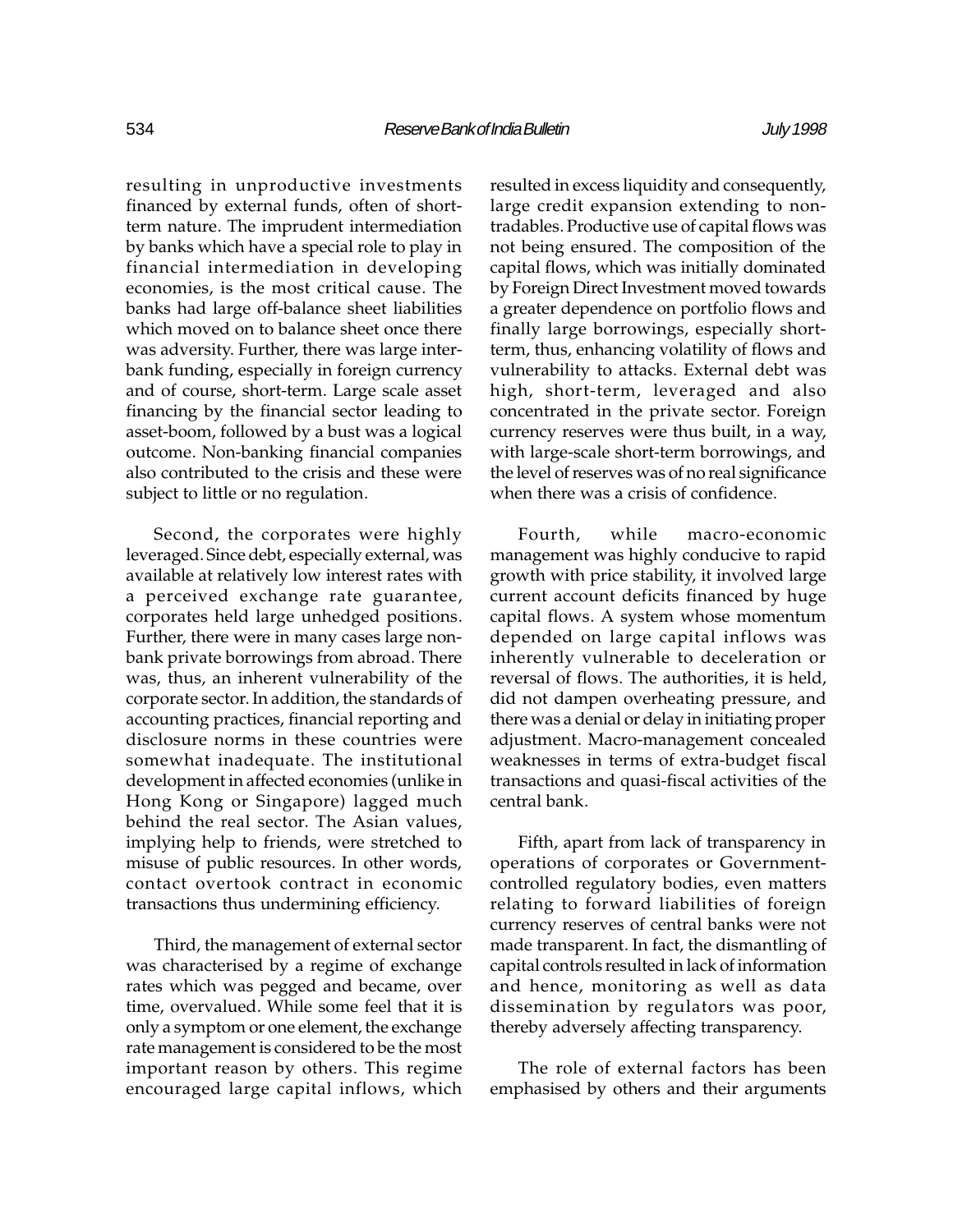resulting in unproductive investments financed by external funds, often of shortterm nature. The imprudent intermediation by banks which have a special role to play in financial intermediation in developing economies, is the most critical cause. The banks had large off-balance sheet liabilities which moved on to balance sheet once there was adversity. Further, there was large interbank funding, especially in foreign currency and of course, short-term. Large scale asset financing by the financial sector leading to asset-boom, followed by a bust was a logical outcome. Non-banking financial companies also contributed to the crisis and these were subject to little or no regulation.

Second, the corporates were highly leveraged. Since debt, especially external, was available at relatively low interest rates with a perceived exchange rate guarantee, corporates held large unhedged positions. Further, there were in many cases large nonbank private borrowings from abroad. There was, thus, an inherent vulnerability of the corporate sector. In addition, the standards of accounting practices, financial reporting and disclosure norms in these countries were somewhat inadequate. The institutional development in affected economies (unlike in Hong Kong or Singapore) lagged much behind the real sector. The Asian values, implying help to friends, were stretched to misuse of public resources. In other words, contact overtook contract in economic transactions thus undermining efficiency.

Third, the management of external sector was characterised by a regime of exchange rates which was pegged and became, over time, overvalued. While some feel that it is only a symptom or one element, the exchange rate management is considered to be the most important reason by others. This regime encouraged large capital inflows, which

resulted in excess liquidity and consequently, large credit expansion extending to nontradables. Productive use of capital flows was not being ensured. The composition of the capital flows, which was initially dominated by Foreign Direct Investment moved towards a greater dependence on portfolio flows and finally large borrowings, especially shortterm, thus, enhancing volatility of flows and vulnerability to attacks. External debt was high, short-term, leveraged and also concentrated in the private sector. Foreign currency reserves were thus built, in a way, with large-scale short-term borrowings, and the level of reserves was of no real significance when there was a crisis of confidence.

Fourth, while macro-economic management was highly conducive to rapid growth with price stability, it involved large current account deficits financed by huge capital flows. A system whose momentum depended on large capital inflows was inherently vulnerable to deceleration or reversal of flows. The authorities, it is held, did not dampen overheating pressure, and there was a denial or delay in initiating proper adjustment. Macro-management concealed weaknesses in terms of extra-budget fiscal transactions and quasi-fiscal activities of the central bank.

Fifth, apart from lack of transparency in operations of corporates or Governmentcontrolled regulatory bodies, even matters relating to forward liabilities of foreign currency reserves of central banks were not made transparent. In fact, the dismantling of capital controls resulted in lack of information and hence, monitoring as well as data dissemination by regulators was poor, thereby adversely affecting transparency.

The role of external factors has been emphasised by others and their arguments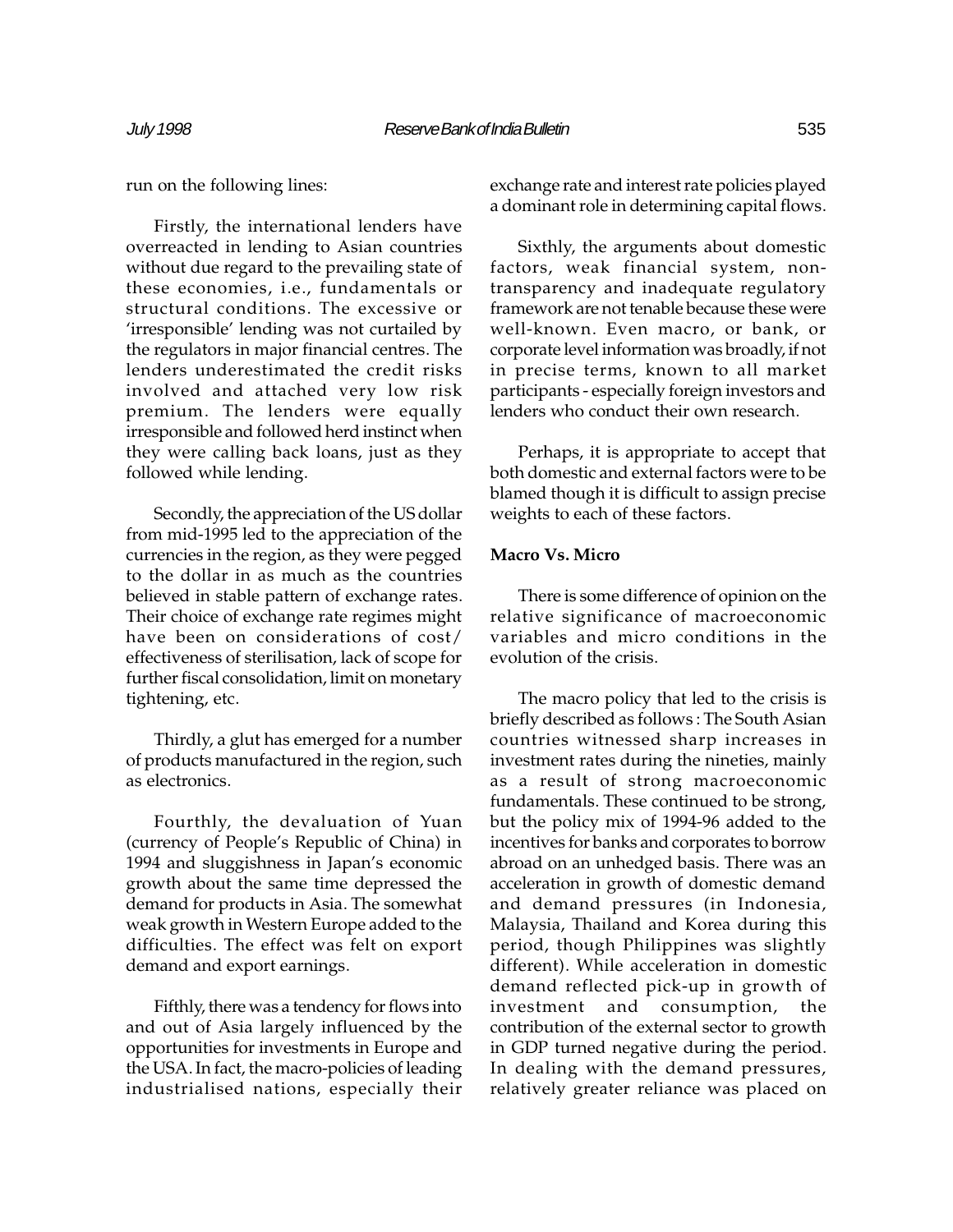run on the following lines:

Firstly, the international lenders have overreacted in lending to Asian countries without due regard to the prevailing state of these economies, i.e., fundamentals or structural conditions. The excessive or 'irresponsible' lending was not curtailed by the regulators in major financial centres. The lenders underestimated the credit risks involved and attached very low risk premium. The lenders were equally irresponsible and followed herd instinct when they were calling back loans, just as they followed while lending.

Secondly, the appreciation of the US dollar from mid-1995 led to the appreciation of the currencies in the region, as they were pegged to the dollar in as much as the countries believed in stable pattern of exchange rates. Their choice of exchange rate regimes might have been on considerations of cost/ effectiveness of sterilisation, lack of scope for further fiscal consolidation, limit on monetary tightening, etc.

Thirdly, a glut has emerged for a number of products manufactured in the region, such as electronics.

Fourthly, the devaluation of Yuan (currency of People's Republic of China) in 1994 and sluggishness in Japan's economic growth about the same time depressed the demand for products in Asia. The somewhat weak growth in Western Europe added to the difficulties. The effect was felt on export demand and export earnings.

Fifthly, there was a tendency for flows into and out of Asia largely influenced by the opportunities for investments in Europe and the USA. In fact, the macro-policies of leading industrialised nations, especially their

exchange rate and interest rate policies played a dominant role in determining capital flows.

Sixthly, the arguments about domestic factors, weak financial system, nontransparency and inadequate regulatory framework are not tenable because these were well-known. Even macro, or bank, or corporate level information was broadly, if not in precise terms, known to all market participants - especially foreign investors and lenders who conduct their own research.

Perhaps, it is appropriate to accept that both domestic and external factors were to be blamed though it is difficult to assign precise weights to each of these factors.

### Macro Vs. Micro

There is some difference of opinion on the relative significance of macroeconomic variables and micro conditions in the evolution of the crisis.

The macro policy that led to the crisis is briefly described as follows : The South Asian countries witnessed sharp increases in investment rates during the nineties, mainly as a result of strong macroeconomic fundamentals. These continued to be strong, but the policy mix of 1994-96 added to the incentives for banks and corporates to borrow abroad on an unhedged basis. There was an acceleration in growth of domestic demand and demand pressures (in Indonesia, Malaysia, Thailand and Korea during this period, though Philippines was slightly different). While acceleration in domestic demand reflected pick-up in growth of investment and consumption, the contribution of the external sector to growth in GDP turned negative during the period. In dealing with the demand pressures, relatively greater reliance was placed on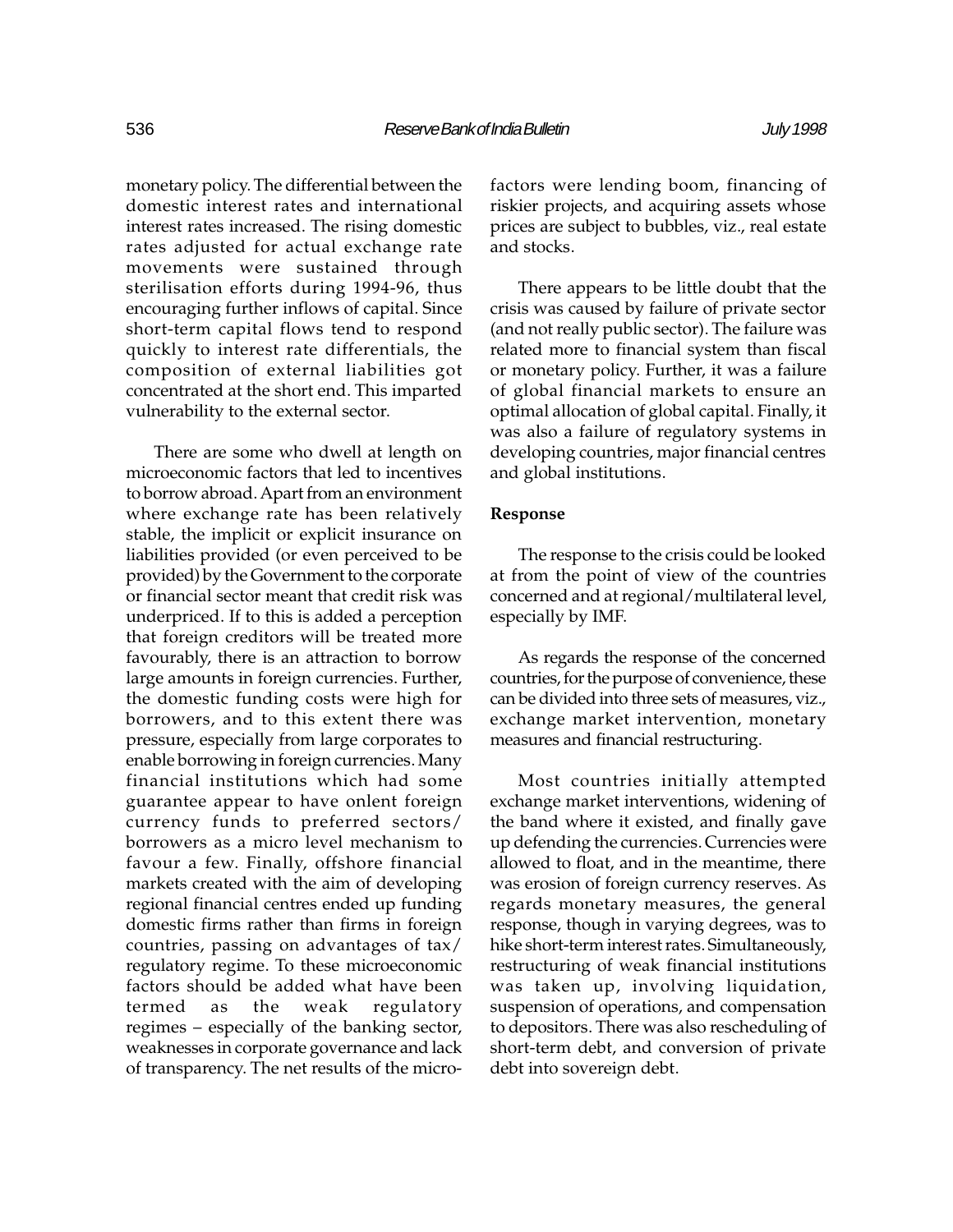monetary policy. The differential between the domestic interest rates and international interest rates increased. The rising domestic rates adjusted for actual exchange rate movements were sustained through sterilisation efforts during 1994-96, thus encouraging further inflows of capital. Since short-term capital flows tend to respond quickly to interest rate differentials, the composition of external liabilities got concentrated at the short end. This imparted vulnerability to the external sector.

There are some who dwell at length on microeconomic factors that led to incentives to borrow abroad. Apart from an environment where exchange rate has been relatively stable, the implicit or explicit insurance on liabilities provided (or even perceived to be provided) by the Government to the corporate or financial sector meant that credit risk was underpriced. If to this is added a perception that foreign creditors will be treated more favourably, there is an attraction to borrow large amounts in foreign currencies. Further, the domestic funding costs were high for borrowers, and to this extent there was pressure, especially from large corporates to enable borrowing in foreign currencies. Many financial institutions which had some guarantee appear to have onlent foreign currency funds to preferred sectors/ borrowers as a micro level mechanism to favour a few. Finally, offshore financial markets created with the aim of developing regional financial centres ended up funding domestic firms rather than firms in foreign countries, passing on advantages of tax/ regulatory regime. To these microeconomic factors should be added what have been termed as the weak regulatory regimes – especially of the banking sector, weaknesses in corporate governance and lack of transparency. The net results of the microfactors were lending boom, financing of riskier projects, and acquiring assets whose prices are subject to bubbles, viz., real estate and stocks.

There appears to be little doubt that the crisis was caused by failure of private sector (and not really public sector). The failure was related more to financial system than fiscal or monetary policy. Further, it was a failure of global financial markets to ensure an optimal allocation of global capital. Finally, it was also a failure of regulatory systems in developing countries, major financial centres and global institutions.

#### Response

The response to the crisis could be looked at from the point of view of the countries concerned and at regional/multilateral level, especially by IMF.

As regards the response of the concerned countries, for the purpose of convenience, these can be divided into three sets of measures, viz., exchange market intervention, monetary measures and financial restructuring.

Most countries initially attempted exchange market interventions, widening of the band where it existed, and finally gave up defending the currencies. Currencies were allowed to float, and in the meantime, there was erosion of foreign currency reserves. As regards monetary measures, the general response, though in varying degrees, was to hike short-term interest rates. Simultaneously, restructuring of weak financial institutions was taken up, involving liquidation, suspension of operations, and compensation to depositors. There was also rescheduling of short-term debt, and conversion of private debt into sovereign debt.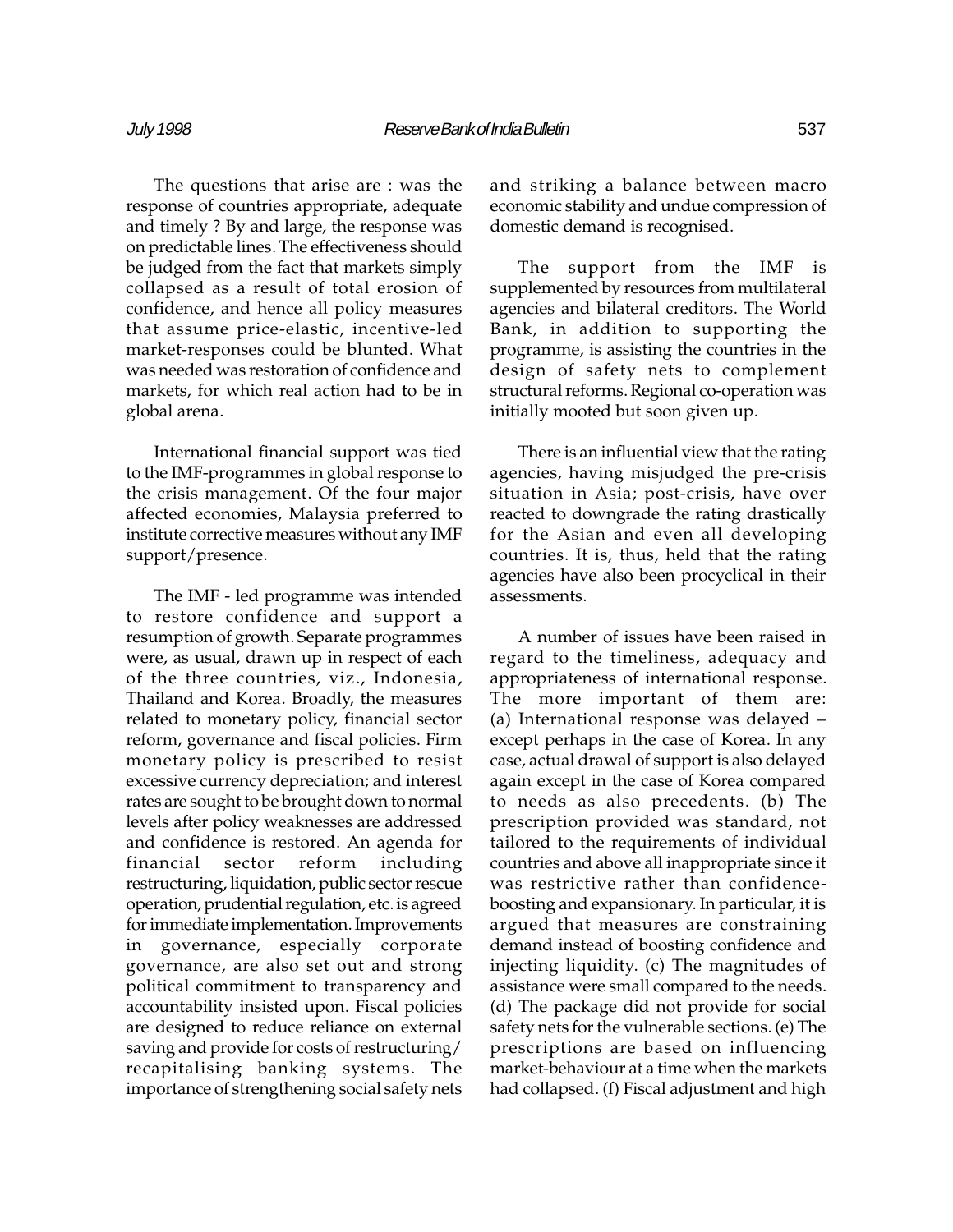The questions that arise are : was the response of countries appropriate, adequate and timely ? By and large, the response was on predictable lines. The effectiveness should be judged from the fact that markets simply collapsed as a result of total erosion of confidence, and hence all policy measures that assume price-elastic, incentive-led market-responses could be blunted. What was needed was restoration of confidence and markets, for which real action had to be in global arena.

International financial support was tied to the IMF-programmes in global response to the crisis management. Of the four major affected economies, Malaysia preferred to institute corrective measures without any IMF support/presence.

The IMF - led programme was intended to restore confidence and support a resumption of growth. Separate programmes were, as usual, drawn up in respect of each of the three countries, viz., Indonesia, Thailand and Korea. Broadly, the measures related to monetary policy, financial sector reform, governance and fiscal policies. Firm monetary policy is prescribed to resist excessive currency depreciation; and interest rates are sought to be brought down to normal levels after policy weaknesses are addressed and confidence is restored. An agenda for financial sector reform including restructuring, liquidation, public sector rescue operation, prudential regulation, etc. is agreed for immediate implementation. Improvements in governance, especially corporate governance, are also set out and strong political commitment to transparency and accountability insisted upon. Fiscal policies are designed to reduce reliance on external saving and provide for costs of restructuring/ recapitalising banking systems. The importance of strengthening social safety nets and striking a balance between macro economic stability and undue compression of domestic demand is recognised.

The support from the IMF is supplemented by resources from multilateral agencies and bilateral creditors. The World Bank, in addition to supporting the programme, is assisting the countries in the design of safety nets to complement structural reforms. Regional co-operation was initially mooted but soon given up.

There is an influential view that the rating agencies, having misjudged the pre-crisis situation in Asia; post-crisis, have over reacted to downgrade the rating drastically for the Asian and even all developing countries. It is, thus, held that the rating agencies have also been procyclical in their assessments.

A number of issues have been raised in regard to the timeliness, adequacy and appropriateness of international response. The more important of them are: (a) International response was delayed except perhaps in the case of Korea. In any case, actual drawal of support is also delayed again except in the case of Korea compared to needs as also precedents. (b) The prescription provided was standard, not tailored to the requirements of individual countries and above all inappropriate since it was restrictive rather than confidenceboosting and expansionary. In particular, it is argued that measures are constraining demand instead of boosting confidence and injecting liquidity. (c) The magnitudes of assistance were small compared to the needs. (d) The package did not provide for social safety nets for the vulnerable sections. (e) The prescriptions are based on influencing market-behaviour at a time when the markets had collapsed. (f) Fiscal adjustment and high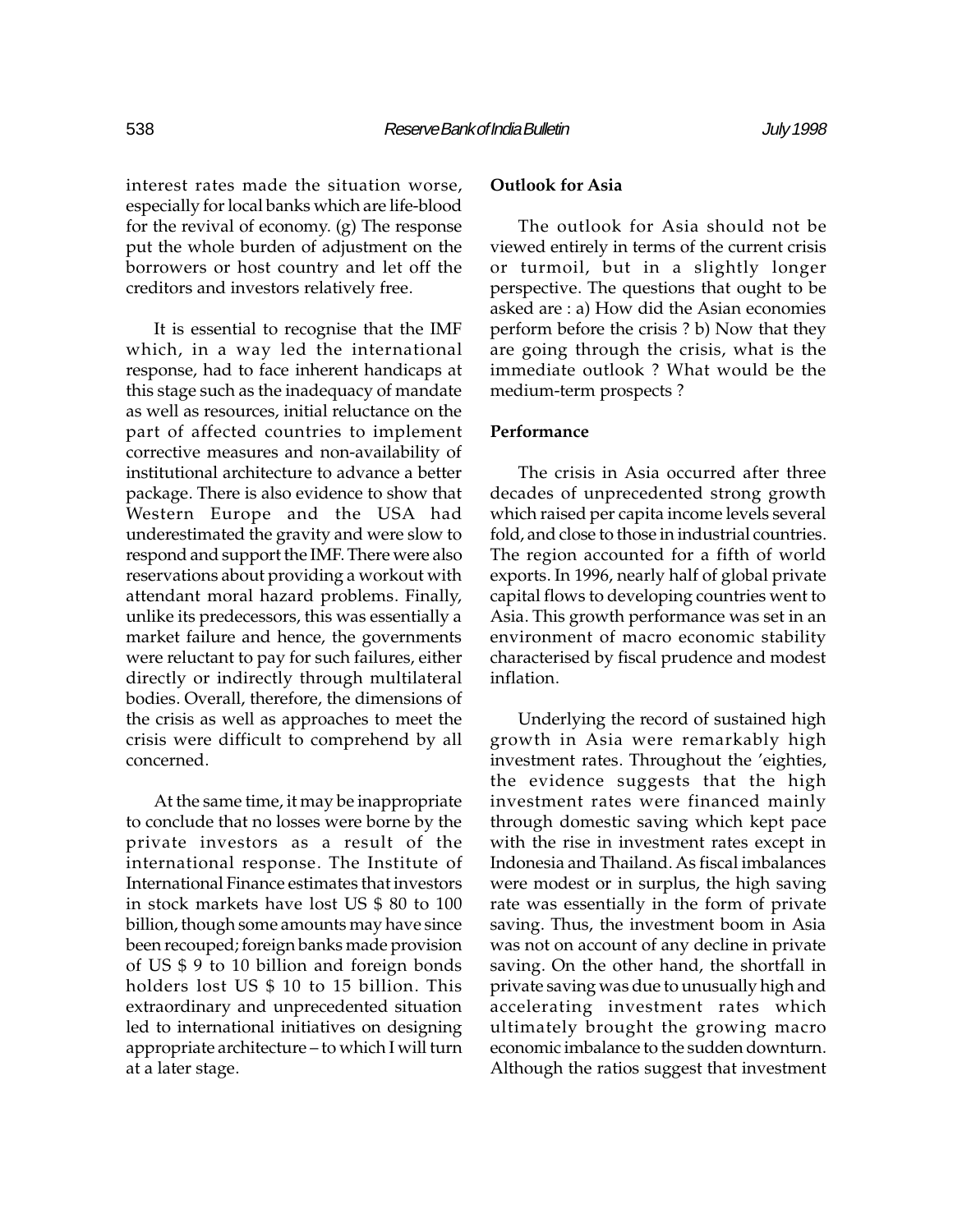interest rates made the situation worse, especially for local banks which are life-blood for the revival of economy. (g) The response put the whole burden of adjustment on the borrowers or host country and let off the creditors and investors relatively free.

It is essential to recognise that the IMF which, in a way led the international response, had to face inherent handicaps at this stage such as the inadequacy of mandate as well as resources, initial reluctance on the part of affected countries to implement corrective measures and non-availability of institutional architecture to advance a better package. There is also evidence to show that Western Europe and the USA had underestimated the gravity and were slow to respond and support the IMF. There were also reservations about providing a workout with attendant moral hazard problems. Finally, unlike its predecessors, this was essentially a market failure and hence, the governments were reluctant to pay for such failures, either directly or indirectly through multilateral bodies. Overall, therefore, the dimensions of the crisis as well as approaches to meet the crisis were difficult to comprehend by all concerned.

At the same time, it may be inappropriate to conclude that no losses were borne by the private investors as a result of the international response. The Institute of International Finance estimates that investors in stock markets have lost US \$ 80 to 100 billion, though some amounts may have since been recouped; foreign banks made provision of US \$ 9 to 10 billion and foreign bonds holders lost US \$ 10 to 15 billion. This extraordinary and unprecedented situation led to international initiatives on designing appropriate architecture - to which I will turn at a later stage.

# Outlook for Asia

The outlook for Asia should not be viewed entirely in terms of the current crisis or turmoil, but in a slightly longer perspective. The questions that ought to be asked are : a) How did the Asian economies perform before the crisis ? b) Now that they are going through the crisis, what is the immediate outlook ? What would be the medium-term prospects ?

# **Performance**

The crisis in Asia occurred after three decades of unprecedented strong growth which raised per capita income levels several fold, and close to those in industrial countries. The region accounted for a fifth of world exports. In 1996, nearly half of global private capital flows to developing countries went to Asia. This growth performance was set in an environment of macro economic stability characterised by fiscal prudence and modest inflation.

Underlying the record of sustained high growth in Asia were remarkably high investment rates. Throughout the 'eighties, the evidence suggests that the high investment rates were financed mainly through domestic saving which kept pace with the rise in investment rates except in Indonesia and Thailand. As fiscal imbalances were modest or in surplus, the high saving rate was essentially in the form of private saving. Thus, the investment boom in Asia was not on account of any decline in private saving. On the other hand, the shortfall in private saving was due to unusually high and accelerating investment rates which ultimately brought the growing macro economic imbalance to the sudden downturn. Although the ratios suggest that investment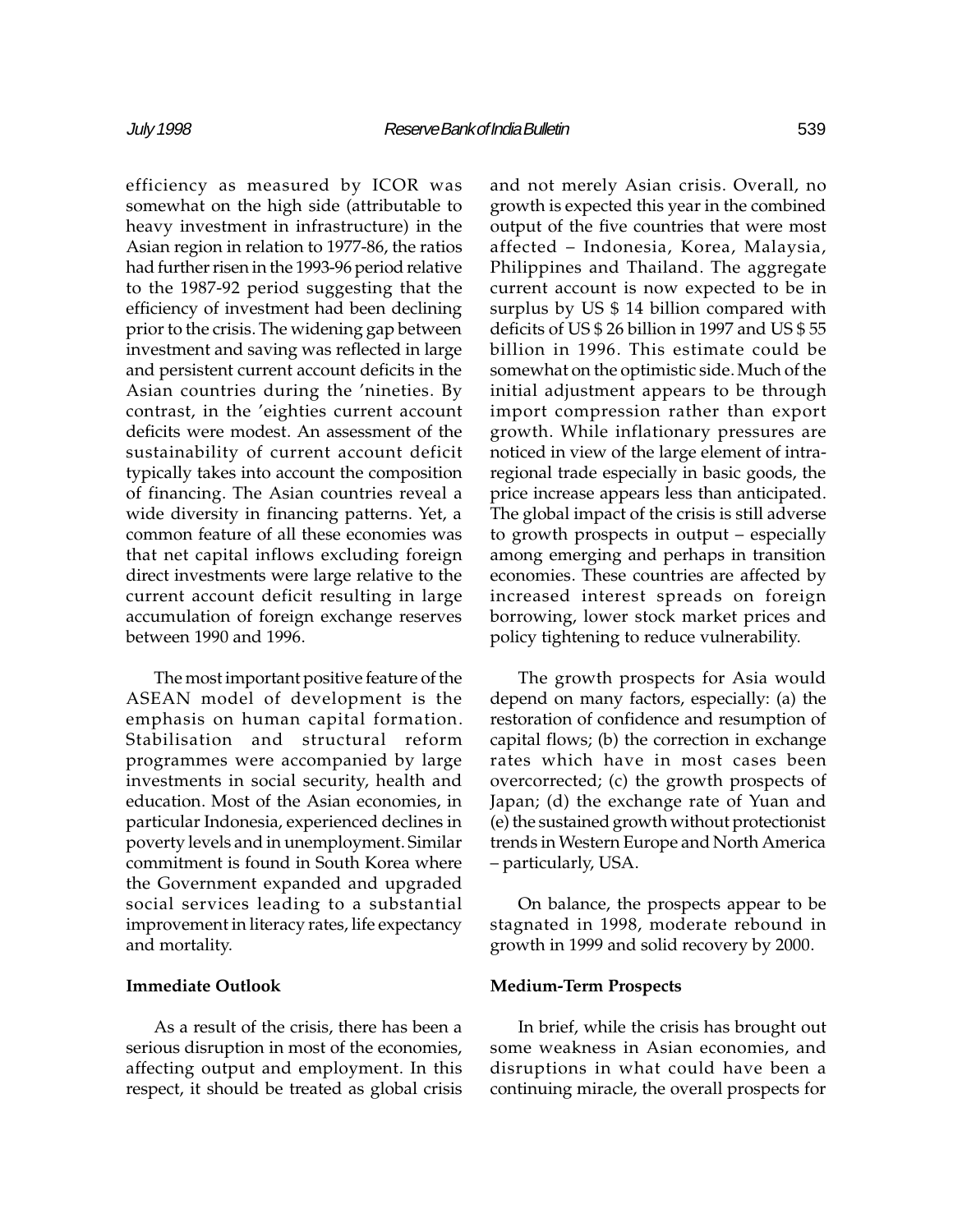efficiency as measured by ICOR was somewhat on the high side (attributable to heavy investment in infrastructure) in the Asian region in relation to 1977-86, the ratios had further risen in the 1993-96 period relative to the 1987-92 period suggesting that the efficiency of investment had been declining prior to the crisis. The widening gap between investment and saving was reflected in large and persistent current account deficits in the Asian countries during the 'nineties. By contrast, in the 'eighties current account deficits were modest. An assessment of the sustainability of current account deficit typically takes into account the composition of financing. The Asian countries reveal a wide diversity in financing patterns. Yet, a common feature of all these economies was that net capital inflows excluding foreign direct investments were large relative to the current account deficit resulting in large accumulation of foreign exchange reserves between 1990 and 1996.

The most important positive feature of the ASEAN model of development is the emphasis on human capital formation. Stabilisation and structural reform programmes were accompanied by large investments in social security, health and education. Most of the Asian economies, in particular Indonesia, experienced declines in poverty levels and in unemployment. Similar commitment is found in South Korea where the Government expanded and upgraded social services leading to a substantial improvement in literacy rates, life expectancy and mortality.

### Immediate Outlook

As a result of the crisis, there has been a serious disruption in most of the economies, affecting output and employment. In this respect, it should be treated as global crisis and not merely Asian crisis. Overall, no growth is expected this year in the combined output of the five countries that were most affected - Indonesia, Korea, Malaysia, Philippines and Thailand. The aggregate current account is now expected to be in surplus by US \$ 14 billion compared with deficits of US \$ 26 billion in 1997 and US \$ 55 billion in 1996. This estimate could be somewhat on the optimistic side. Much of the initial adjustment appears to be through import compression rather than export growth. While inflationary pressures are noticed in view of the large element of intraregional trade especially in basic goods, the price increase appears less than anticipated. The global impact of the crisis is still adverse to growth prospects in output  $-$  especially among emerging and perhaps in transition economies. These countries are affected by increased interest spreads on foreign borrowing, lower stock market prices and policy tightening to reduce vulnerability.

The growth prospects for Asia would depend on many factors, especially: (a) the restoration of confidence and resumption of capital flows; (b) the correction in exchange rates which have in most cases been overcorrected; (c) the growth prospects of Japan; (d) the exchange rate of Yuan and (e) the sustained growth without protectionist trends in Western Europe and North America particularly, USA.

On balance, the prospects appear to be stagnated in 1998, moderate rebound in growth in 1999 and solid recovery by 2000.

#### Medium-Term Prospects

In brief, while the crisis has brought out some weakness in Asian economies, and disruptions in what could have been a continuing miracle, the overall prospects for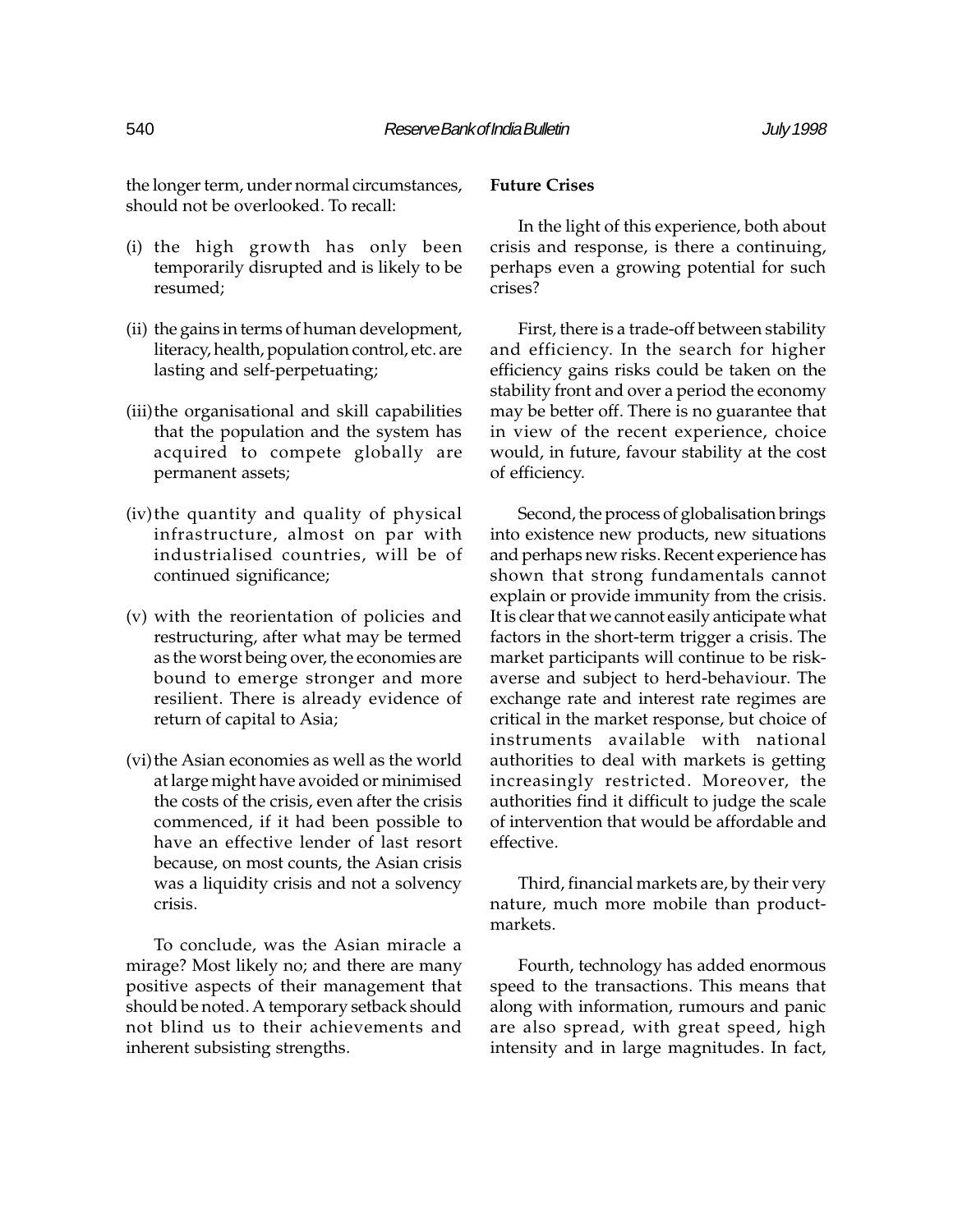the longer term, under normal circumstances, should not be overlooked. To recall:

- (i) the high growth has only been temporarily disrupted and is likely to be resumed;
- (ii) the gains in terms of human development, literacy, health, population control, etc. are lasting and self-perpetuating;
- (iii)the organisational and skill capabilities that the population and the system has acquired to compete globally are permanent assets;
- (iv)the quantity and quality of physical infrastructure, almost on par with industrialised countries, will be of continued significance;
- (v) with the reorientation of policies and restructuring, after what may be termed as the worst being over, the economies are bound to emerge stronger and more resilient. There is already evidence of return of capital to Asia;
- (vi) the Asian economies as well as the world at large might have avoided or minimised the costs of the crisis, even after the crisis commenced, if it had been possible to have an effective lender of last resort because, on most counts, the Asian crisis was a liquidity crisis and not a solvency crisis.

To conclude, was the Asian miracle a mirage? Most likely no; and there are many positive aspects of their management that should be noted. A temporary setback should not blind us to their achievements and inherent subsisting strengths.

# Future Crises

In the light of this experience, both about crisis and response, is there a continuing, perhaps even a growing potential for such crises?

First, there is a trade-off between stability and efficiency. In the search for higher efficiency gains risks could be taken on the stability front and over a period the economy may be better off. There is no guarantee that in view of the recent experience, choice would, in future, favour stability at the cost of efficiency.

Second, the process of globalisation brings into existence new products, new situations and perhaps new risks. Recent experience has shown that strong fundamentals cannot explain or provide immunity from the crisis. It is clear that we cannot easily anticipate what factors in the short-term trigger a crisis. The market participants will continue to be riskaverse and subject to herd-behaviour. The exchange rate and interest rate regimes are critical in the market response, but choice of instruments available with national authorities to deal with markets is getting increasingly restricted. Moreover, the authorities find it difficult to judge the scale of intervention that would be affordable and effective.

Third, financial markets are, by their very nature, much more mobile than productmarkets.

Fourth, technology has added enormous speed to the transactions. This means that along with information, rumours and panic are also spread, with great speed, high intensity and in large magnitudes. In fact,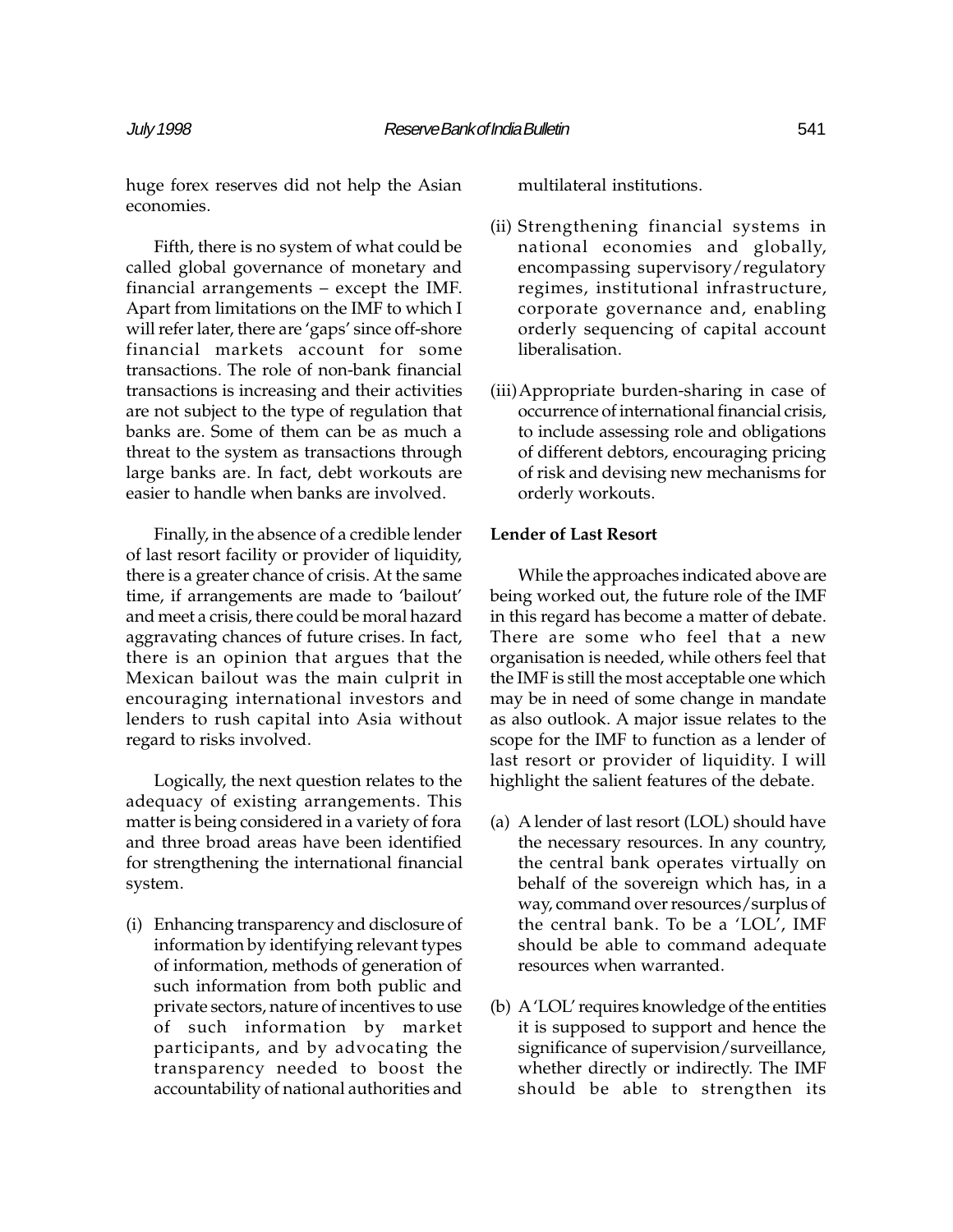huge forex reserves did not help the Asian economies.

Fifth, there is no system of what could be called global governance of monetary and financial arrangements  $-$  except the IMF. Apart from limitations on the IMF to which I will refer later, there are 'gaps' since off-shore financial markets account for some transactions. The role of non-bank financial transactions is increasing and their activities are not subject to the type of regulation that banks are. Some of them can be as much a threat to the system as transactions through large banks are. In fact, debt workouts are easier to handle when banks are involved.

Finally, in the absence of a credible lender of last resort facility or provider of liquidity, there is a greater chance of crisis. At the same time, if arrangements are made to 'bailout' and meet a crisis, there could be moral hazard aggravating chances of future crises. In fact, there is an opinion that argues that the Mexican bailout was the main culprit in encouraging international investors and lenders to rush capital into Asia without regard to risks involved.

Logically, the next question relates to the adequacy of existing arrangements. This matter is being considered in a variety of fora and three broad areas have been identified for strengthening the international financial system.

(i) Enhancing transparency and disclosure of information by identifying relevant types of information, methods of generation of such information from both public and private sectors, nature of incentives to use of such information by market participants, and by advocating the transparency needed to boost the accountability of national authorities and

multilateral institutions.

- (ii) Strengthening financial systems in national economies and globally, encompassing supervisory/regulatory regimes, institutional infrastructure, corporate governance and, enabling orderly sequencing of capital account liberalisation.
- (iii)Appropriate burden-sharing in case of occurrence of international financial crisis, to include assessing role and obligations of different debtors, encouraging pricing of risk and devising new mechanisms for orderly workouts.

# Lender of Last Resort

While the approaches indicated above are being worked out, the future role of the IMF in this regard has become a matter of debate. There are some who feel that a new organisation is needed, while others feel that the IMF is still the most acceptable one which may be in need of some change in mandate as also outlook. A major issue relates to the scope for the IMF to function as a lender of last resort or provider of liquidity. I will highlight the salient features of the debate.

- (a) A lender of last resort (LOL) should have the necessary resources. In any country, the central bank operates virtually on behalf of the sovereign which has, in a way, command over resources/surplus of the central bank. To be a 'LOL', IMF should be able to command adequate resources when warranted.
- (b) A 'LOL' requires knowledge of the entities it is supposed to support and hence the significance of supervision/surveillance, whether directly or indirectly. The IMF should be able to strengthen its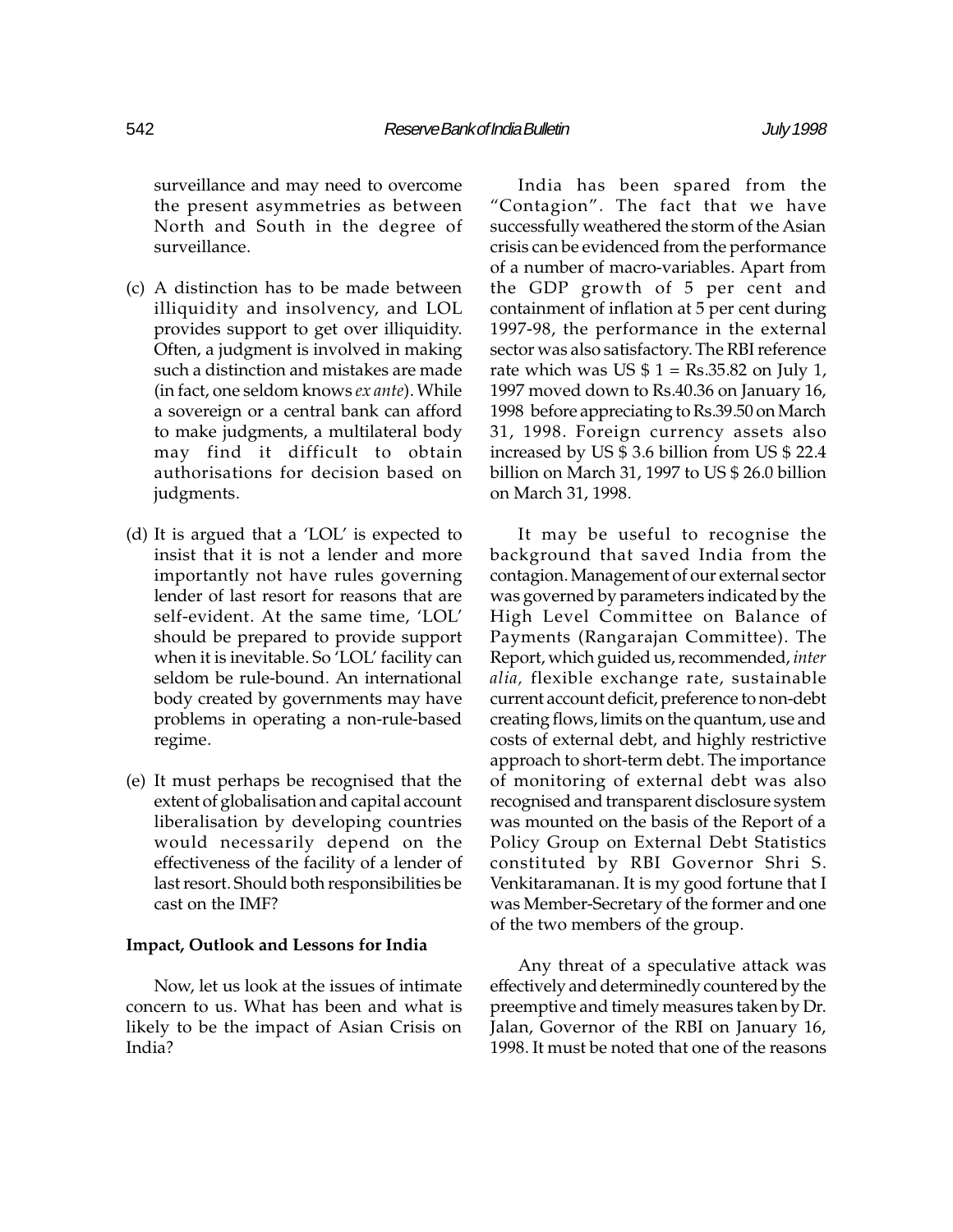surveillance and may need to overcome the present asymmetries as between North and South in the degree of surveillance.

- (c) A distinction has to be made between illiquidity and insolvency, and LOL provides support to get over illiquidity. Often, a judgment is involved in making such a distinction and mistakes are made (in fact, one seldom knows ex ante). While a sovereign or a central bank can afford to make judgments, a multilateral body may find it difficult to obtain authorisations for decision based on judgments.
- (d) It is argued that a 'LOL' is expected to insist that it is not a lender and more importantly not have rules governing lender of last resort for reasons that are self-evident. At the same time, 'LOL' should be prepared to provide support when it is inevitable. So 'LOL' facility can seldom be rule-bound. An international body created by governments may have problems in operating a non-rule-based regime.
- (e) It must perhaps be recognised that the extent of globalisation and capital account liberalisation by developing countries would necessarily depend on the effectiveness of the facility of a lender of last resort. Should both responsibilities be cast on the IMF?

#### Impact, Outlook and Lessons for India

Now, let us look at the issues of intimate concern to us. What has been and what is likely to be the impact of Asian Crisis on India?

India has been spared from the "Contagion". The fact that we have successfully weathered the storm of the Asian crisis can be evidenced from the performance of a number of macro-variables. Apart from the GDP growth of 5 per cent and containment of inflation at 5 per cent during 1997-98, the performance in the external sector was also satisfactory. The RBI reference rate which was US  $$ 1 = \text{Rs}.35.82$  on July 1, 1997 moved down to Rs.40.36 on January 16, 1998 before appreciating to Rs.39.50 on March 31, 1998. Foreign currency assets also increased by US \$ 3.6 billion from US \$ 22.4 billion on March 31, 1997 to US \$ 26.0 billion on March 31, 1998.

It may be useful to recognise the background that saved India from the contagion. Management of our external sector was governed by parameters indicated by the High Level Committee on Balance of Payments (Rangarajan Committee). The Report, which guided us, recommended, inter alia, flexible exchange rate, sustainable current account deficit, preference to non-debt creating flows, limits on the quantum, use and costs of external debt, and highly restrictive approach to short-term debt. The importance of monitoring of external debt was also recognised and transparent disclosure system was mounted on the basis of the Report of a Policy Group on External Debt Statistics constituted by RBI Governor Shri S. Venkitaramanan. It is my good fortune that I was Member-Secretary of the former and one of the two members of the group.

Any threat of a speculative attack was effectively and determinedly countered by the preemptive and timely measures taken by Dr. Jalan, Governor of the RBI on January 16, 1998. It must be noted that one of the reasons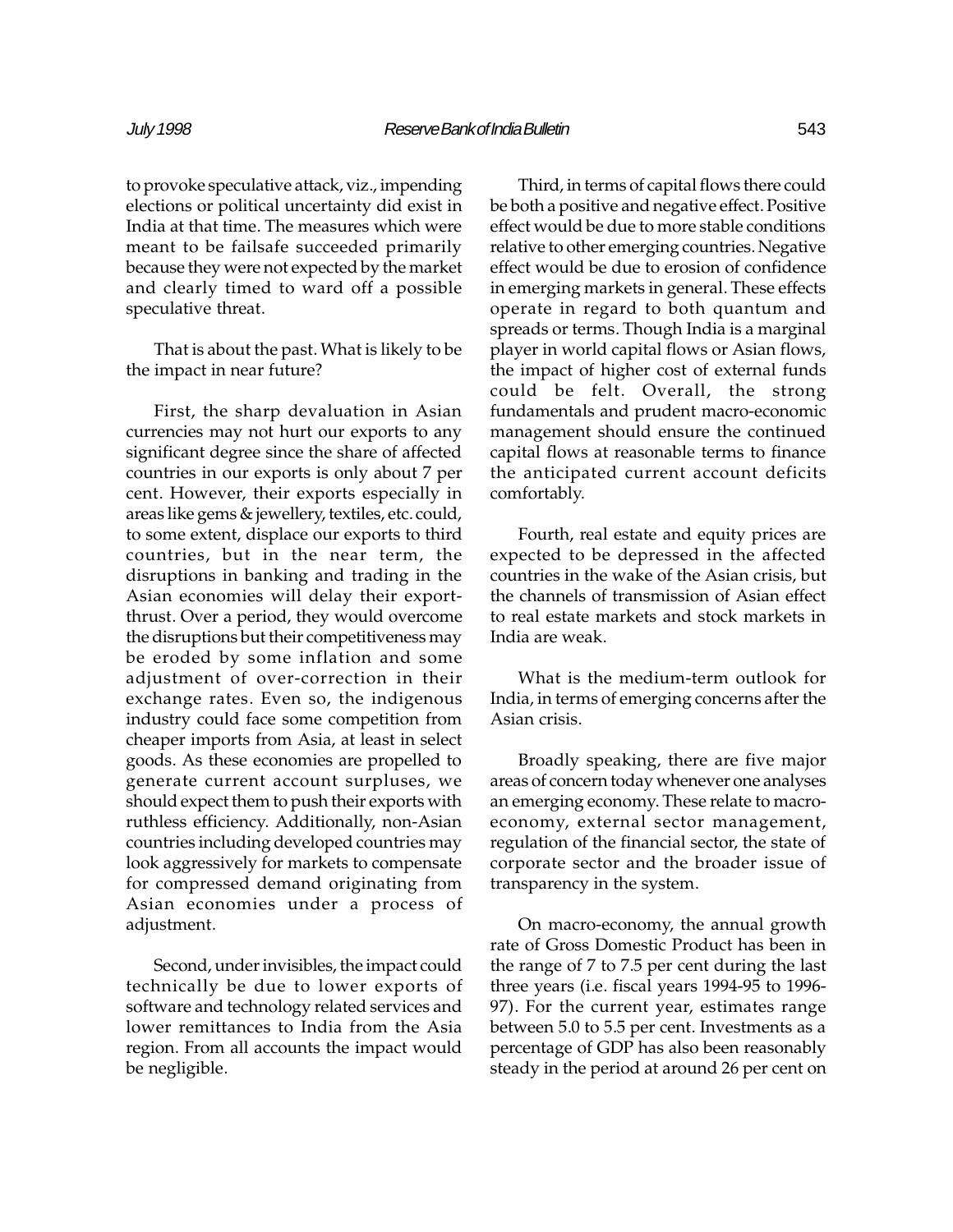to provoke speculative attack, viz., impending elections or political uncertainty did exist in India at that time. The measures which were meant to be failsafe succeeded primarily because they were not expected by the market and clearly timed to ward off a possible speculative threat.

That is about the past. What is likely to be the impact in near future?

First, the sharp devaluation in Asian currencies may not hurt our exports to any significant degree since the share of affected countries in our exports is only about 7 per cent. However, their exports especially in areas like gems & jewellery, textiles, etc. could, to some extent, displace our exports to third countries, but in the near term, the disruptions in banking and trading in the Asian economies will delay their exportthrust. Over a period, they would overcome the disruptions but their competitiveness may be eroded by some inflation and some adjustment of over-correction in their exchange rates. Even so, the indigenous industry could face some competition from cheaper imports from Asia, at least in select goods. As these economies are propelled to generate current account surpluses, we should expect them to push their exports with ruthless efficiency. Additionally, non-Asian countries including developed countries may look aggressively for markets to compensate for compressed demand originating from Asian economies under a process of adjustment.

Second, under invisibles, the impact could technically be due to lower exports of software and technology related services and lower remittances to India from the Asia region. From all accounts the impact would be negligible.

Third, in terms of capital flows there could be both a positive and negative effect. Positive effect would be due to more stable conditions relative to other emerging countries. Negative effect would be due to erosion of confidence in emerging markets in general. These effects operate in regard to both quantum and spreads or terms. Though India is a marginal player in world capital flows or Asian flows, the impact of higher cost of external funds could be felt. Overall, the strong fundamentals and prudent macro-economic management should ensure the continued capital flows at reasonable terms to finance the anticipated current account deficits comfortably.

Fourth, real estate and equity prices are expected to be depressed in the affected countries in the wake of the Asian crisis, but the channels of transmission of Asian effect to real estate markets and stock markets in India are weak.

What is the medium-term outlook for India, in terms of emerging concerns after the Asian crisis.

Broadly speaking, there are five major areas of concern today whenever one analyses an emerging economy. These relate to macroeconomy, external sector management, regulation of the financial sector, the state of corporate sector and the broader issue of transparency in the system.

On macro-economy, the annual growth rate of Gross Domestic Product has been in the range of 7 to 7.5 per cent during the last three years (i.e. fiscal years 1994-95 to 1996- 97). For the current year, estimates range between 5.0 to 5.5 per cent. Investments as a percentage of GDP has also been reasonably steady in the period at around 26 per cent on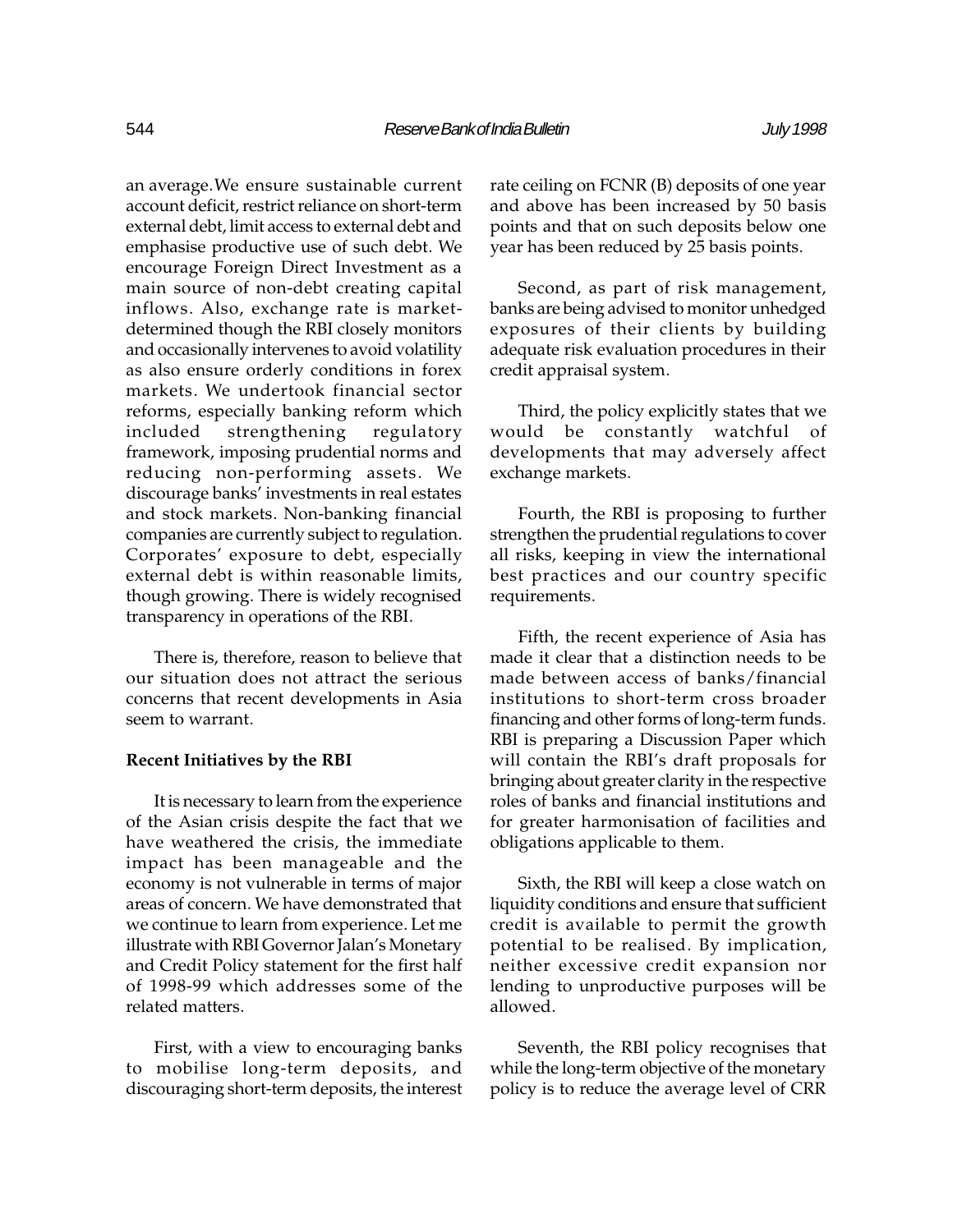an average.We ensure sustainable current account deficit, restrict reliance on short-term external debt, limit access to external debt and emphasise productive use of such debt. We encourage Foreign Direct Investment as a main source of non-debt creating capital inflows. Also, exchange rate is marketdetermined though the RBI closely monitors and occasionally intervenes to avoid volatility as also ensure orderly conditions in forex markets. We undertook financial sector reforms, especially banking reform which included strengthening regulatory framework, imposing prudential norms and reducing non-performing assets. We discourage banks' investments in real estates and stock markets. Non-banking financial companies are currently subject to regulation. Corporates' exposure to debt, especially external debt is within reasonable limits, though growing. There is widely recognised transparency in operations of the RBI.

There is, therefore, reason to believe that our situation does not attract the serious concerns that recent developments in Asia seem to warrant.

#### Recent Initiatives by the RBI

It is necessary to learn from the experience of the Asian crisis despite the fact that we have weathered the crisis, the immediate impact has been manageable and the economy is not vulnerable in terms of major areas of concern. We have demonstrated that we continue to learn from experience. Let me illustrate with RBI Governor Jalan's Monetary and Credit Policy statement for the first half of 1998-99 which addresses some of the related matters.

First, with a view to encouraging banks to mobilise long-term deposits, and discouraging short-term deposits, the interest rate ceiling on FCNR (B) deposits of one year and above has been increased by 50 basis points and that on such deposits below one year has been reduced by 25 basis points.

Second, as part of risk management, banks are being advised to monitor unhedged exposures of their clients by building adequate risk evaluation procedures in their credit appraisal system.

Third, the policy explicitly states that we would be constantly watchful of developments that may adversely affect exchange markets.

Fourth, the RBI is proposing to further strengthen the prudential regulations to cover all risks, keeping in view the international best practices and our country specific requirements.

Fifth, the recent experience of Asia has made it clear that a distinction needs to be made between access of banks/financial institutions to short-term cross broader financing and other forms of long-term funds. RBI is preparing a Discussion Paper which will contain the RBI's draft proposals for bringing about greater clarity in the respective roles of banks and financial institutions and for greater harmonisation of facilities and obligations applicable to them.

Sixth, the RBI will keep a close watch on liquidity conditions and ensure that sufficient credit is available to permit the growth potential to be realised. By implication, neither excessive credit expansion nor lending to unproductive purposes will be allowed.

Seventh, the RBI policy recognises that while the long-term objective of the monetary policy is to reduce the average level of CRR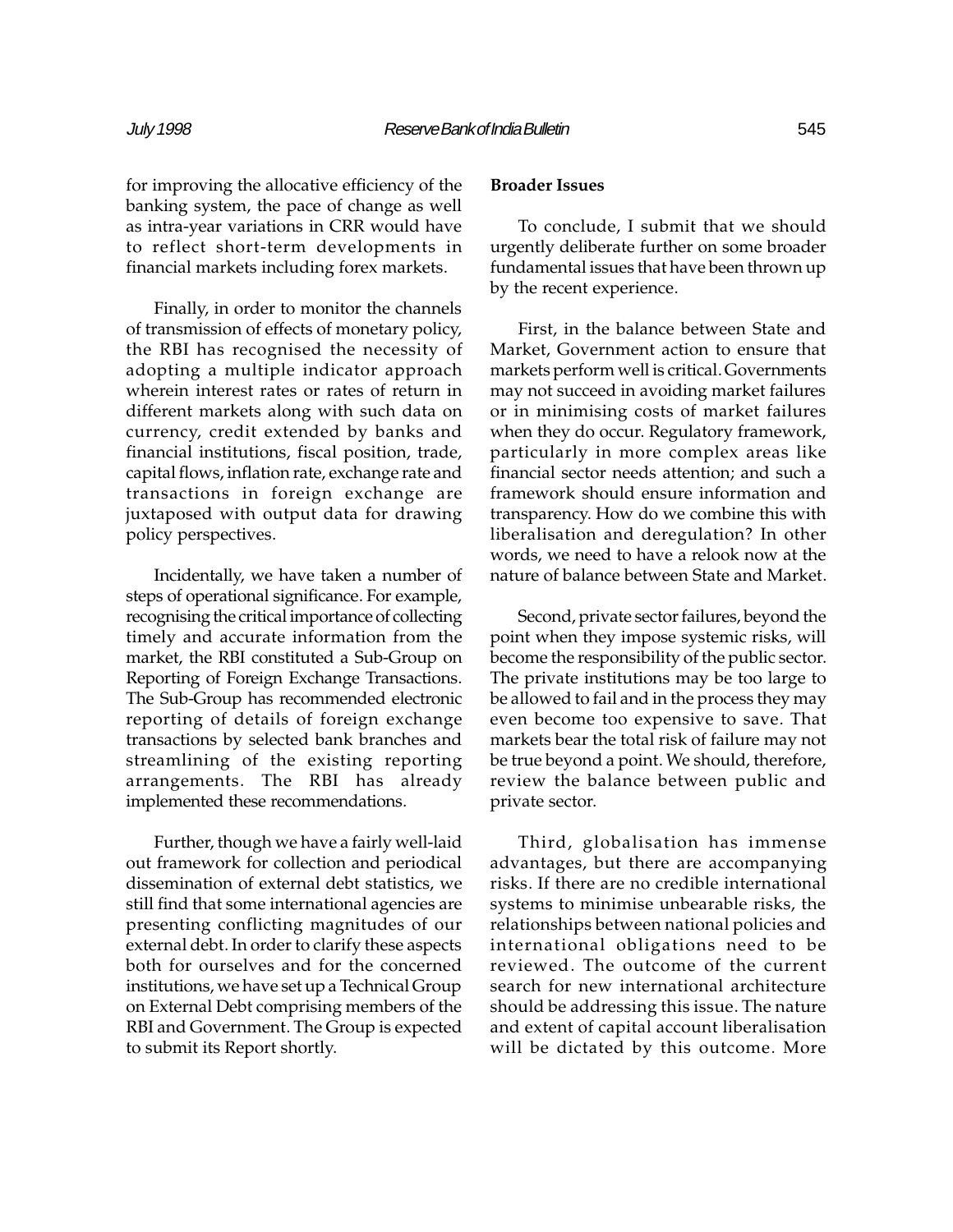for improving the allocative efficiency of the banking system, the pace of change as well as intra-year variations in CRR would have to reflect short-term developments in financial markets including forex markets.

Finally, in order to monitor the channels of transmission of effects of monetary policy, the RBI has recognised the necessity of adopting a multiple indicator approach wherein interest rates or rates of return in different markets along with such data on currency, credit extended by banks and financial institutions, fiscal position, trade, capital flows, inflation rate, exchange rate and transactions in foreign exchange are juxtaposed with output data for drawing policy perspectives.

Incidentally, we have taken a number of steps of operational significance. For example, recognising the critical importance of collecting timely and accurate information from the market, the RBI constituted a Sub-Group on Reporting of Foreign Exchange Transactions. The Sub-Group has recommended electronic reporting of details of foreign exchange transactions by selected bank branches and streamlining of the existing reporting arrangements. The RBI has already implemented these recommendations.

Further, though we have a fairly well-laid out framework for collection and periodical dissemination of external debt statistics, we still find that some international agencies are presenting conflicting magnitudes of our external debt. In order to clarify these aspects both for ourselves and for the concerned institutions, we have set up a Technical Group on External Debt comprising members of the RBI and Government. The Group is expected to submit its Report shortly.

# Broader Issues

To conclude, I submit that we should urgently deliberate further on some broader fundamental issues that have been thrown up by the recent experience.

First, in the balance between State and Market, Government action to ensure that markets perform well is critical. Governments may not succeed in avoiding market failures or in minimising costs of market failures when they do occur. Regulatory framework, particularly in more complex areas like financial sector needs attention; and such a framework should ensure information and transparency. How do we combine this with liberalisation and deregulation? In other words, we need to have a relook now at the nature of balance between State and Market.

Second, private sector failures, beyond the point when they impose systemic risks, will become the responsibility of the public sector. The private institutions may be too large to be allowed to fail and in the process they may even become too expensive to save. That markets bear the total risk of failure may not be true beyond a point. We should, therefore, review the balance between public and private sector.

Third, globalisation has immense advantages, but there are accompanying risks. If there are no credible international systems to minimise unbearable risks, the relationships between national policies and international obligations need to be reviewed. The outcome of the current search for new international architecture should be addressing this issue. The nature and extent of capital account liberalisation will be dictated by this outcome. More